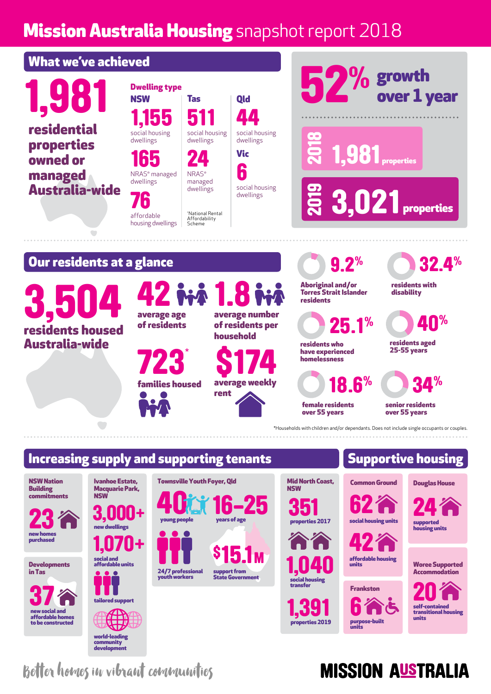## **Mission Australia Housing** snapshot report 2018



NSW Nation **Building** commitments

23 new homes

purchased

**Developments** in Tas

37 new social and affordable homes to be constructed

social and affordable units 1,070+ 3,000+ new dwellings

NSW

Ivanhoe Estate, Macquarie Park,



24/7 professional youth workers 16-25 **40**  $\frac{1}{\sqrt{2}}$  **16**  $\frac{1}{\sqrt{2}}$ support from State Government \$15.1<sub>M</sub> Townsville Youth Foyer, Qld

#### Common Ground 351 Mid North Coast, **NSW** 62





# social housing units



Frankston 6 purpose-built units

# Accommodation

Woree Supported

Douglas House

24

supported housing units

self-contained transitional housing units self-contained

Better homes in vibrant communities

### **MISSION AUSTRALIA**